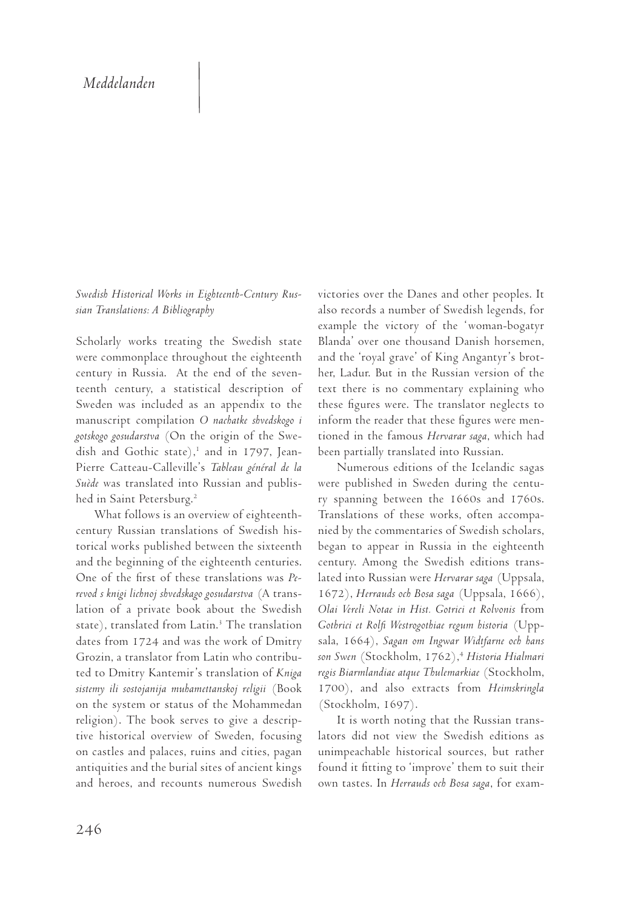## *Meddelanden Recensioner*

.<br>*Swedish Historical Works in Eighteenth-Century Rus-* victori *sian Translations: A Bibliography* **i Nagota 1997. Det andram en så som eg**entligen var ett så som eg sedan det första av det första båda forskar forskar forskar forskar med rum, som anska både rum, som anska båd<br>T

Scholarly works treating the Swedish state - Blanda were commonplace throughout the eighteenth — and th century in Russia. At the end of the seven- her, La teenth century, a statistical description of text th Sweden was included as an appendix to the these f manuscript compilation *O nachatke shvedskogo i* inform gotskogo gosudarstva (On the origin of the Swe- tioned dish and Gothic state),<sup>1</sup> and in 1797, Jean- been p Pierre Catteau-Calleville's *Tableau général de la*  ordförande i såväl det tyska som det internationella suède was translated into Russian and published in Saint Petersburg.<sup>2</sup>  $I = \frac{1}{2}$ 

What follows is an overview of eighteenth-europeiska länder, är numera ett världsomspännande century Russian translations of Swedish his- nied by torical works published between the sixteenth began and the beginning of the eighteenth centuries.  $\quad$  centur One of the first of these translations was *Pe-* lated in revod s knigi lichnoj shvedskago gosudarstva (A trans-  $\;$  I lation of a private book about the Swedish  $\,$  Olai Ve $\,$ state), translated from Latin.<sup>3</sup> The translation Gothrici dates from 1724 and was the work of Dmitry sala, 1 Grozin, a translator from Latin who contribu- son Swe ted to Dmitry Kantemir's translation of *Kniga – regis Bi* sistemy ili sostojanija muhamettanskoj religii (Book 1700) on the system or status of the Mohammedan (Stock of the system of status of the monumineum (second<br>religion). The book serves to give a descriptive historical overview of Sweden, focusing lators on castles and palaces, ruins and cities, pagan at unimp antiquities and the burial sites of ancient kings  $\quad$  found and heroes, and recounts numerous Swedish at follows is all overview of eighteemil-<br>References and Second Material and Material  $\mu$ . The book serves to give a gescrip-<br> $\mu$  is the renare render

victories over the Danes and other peoples. It also records a number of Swedish legends, for Jacques Gernet (1982) och *Des Lumières au comparatisme.* example the victory of the 'woman-bogatyr Blanda' over one thousand Danish horsemen, and the 'royal grave' of King Angantyr's brother, Ladur. But in the Russian version of the text there is no commentary explaining who these figures were. The translator neglects to inform the reader that these figures were mentioned in the famous *Hervarar saga*, which had been partially translated into Russian. kallat exempler med delegater med delegater från olika med delegater från olika medning, the *chairs* and other peoples. It

 $\overline{\rm N}$ umerous editions of the Icelandic sagas were published in Sweden during the centurece paensited in Sweden during the century spanning between the 1660s and 1760s. ry spanning octween the 1000s and 1700s.<br>Translations of these works, often accompanied by the commentaries of Swedish scholars, began to appear in Russia in the eighteenth century. Among the Swedish editions translated into Russian were *Hervarar saga* (Uppsala, 1672)*, Herrauds och Bosa saga (*Uppsala, 1666), *Olai Vereli Notae in Hist. Gotrici et Rolvonis f*rom Gothrici et Rolfi Westrogothiae regum historia (Uppsala, 1664), *Sagan om Ingwar Widtfarne och hans* son Swen (Stockholm, 1762),<sup>4</sup> Historia Hialmari regis Biarmlandiae atque Thulemarkiae (Stockholm, 1700), and also extracts from *Heimskringla* (Stockholm, 1697). re generalise sin jungere sin jungere sin jung frutur under de sin jungere sin de de la de la de la de la de la  $\frac{1607}{\pi}$ 

ecknomi, 1097).<br>It is worth noting that the Russian translators did not view the Swedish editions as unimpeachable historical sources, but rather found it fitting to 'improve' them to suit their own tastes. In *Herrauds och Bosa saga*, for examder Schlobach ger i sitt bidrag Voltaire äran av den sitt bidrag Voltaire är sitt bidrag Voltaire är start st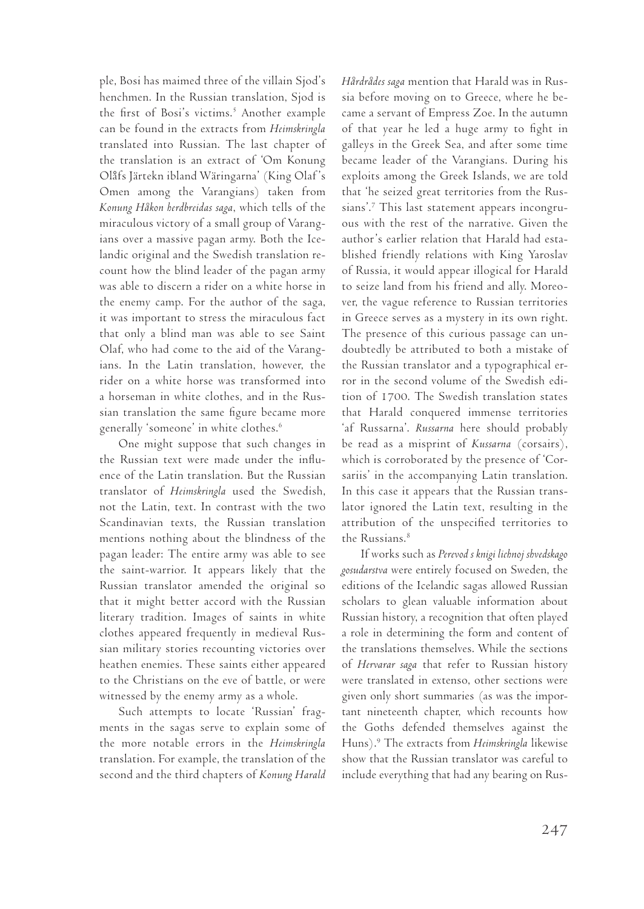ple, Bosi has maimed three of the villain Sjod's henchmen. In the Russian translation, Sjod is the first of Bosi's victims.<sup>5</sup> Another example can be found in the extracts from *Heimskringla* translated into Russian. The last chapter of the translation is an extract of 'Om Konung Olåfs Järtekn ibland Wäringarna' (King Olaf's Omen among the Varangians) taken from *Konung Håkon herdbreidas saga*, which tells of the miraculous victory of a small group of Varangians over a massive pagan army. Both the Icelandic original and the Swedish translation recount how the blind leader of the pagan army was able to discern a rider on a white horse in the enemy camp. For the author of the saga, it was important to stress the miraculous fact that only a blind man was able to see Saint Olaf, who had come to the aid of the Varangians. In the Latin translation, however, the rider on a white horse was transformed into a horseman in white clothes, and in the Russian translation the same figure became more generally 'someone' in white clothes.<sup>6</sup>

One might suppose that such changes in the Russian text were made under the influence of the Latin translation. But the Russian translator of *Heimskringla* used the Swedish, not the Latin, text. In contrast with the two Scandinavian texts, the Russian translation mentions nothing about the blindness of the pagan leader: The entire army was able to see the saint-warrior. It appears likely that the Russian translator amended the original so that it might better accord with the Russian literary tradition. Images of saints in white clothes appeared frequently in medieval Russian military stories recounting victories over heathen enemies. These saints either appeared to the Christians on the eve of battle, or were witnessed by the enemy army as a whole.

Such attempts to locate 'Russian' fragments in the sagas serve to explain some of the more notable errors in the *Heimskringla* translation. For example, the translation of the second and the third chapters of *Konung Harald* 

*Hårdrådes saga* mention that Harald was in Russia before moving on to Greece, where he became a servant of Empress Zoe. In the autumn of that year he led a huge army to fight in galleys in the Greek Sea, and after some time became leader of the Varangians. During his exploits among the Greek Islands, we are told that 'he seized great territories from the Russians'.7 This last statement appears incongruous with the rest of the narrative. Given the author's earlier relation that Harald had established friendly relations with King Yaroslav of Russia, it would appear illogical for Harald to seize land from his friend and ally. Moreover, the vague reference to Russian territories in Greece serves as a mystery in its own right. The presence of this curious passage can undoubtedly be attributed to both a mistake of the Russian translator and a typographical error in the second volume of the Swedish edition of 1700. The Swedish translation states that Harald conquered immense territories 'af Russarna'. *Russarna* here should probably be read as a misprint of *Kussarna* (corsairs), which is corroborated by the presence of 'Corsariis' in the accompanying Latin translation. In this case it appears that the Russian translator ignored the Latin text, resulting in the attribution of the unspecified territories to the Russians.<sup>8</sup>

If works such as *Perevod s knigi lichnoj shvedskago gosudarstva* were entirely focused on Sweden, the editions of the Icelandic sagas allowed Russian scholars to glean valuable information about Russian history, a recognition that often played a role in determining the form and content of the translations themselves. While the sections of *Hervarar saga* that refer to Russian history were translated in extenso, other sections were given only short summaries (as was the important nineteenth chapter, which recounts how the Goths defended themselves against the Huns).9 The extracts from *Heimskringla* likewise show that the Russian translator was careful to include everything that had any bearing on Rus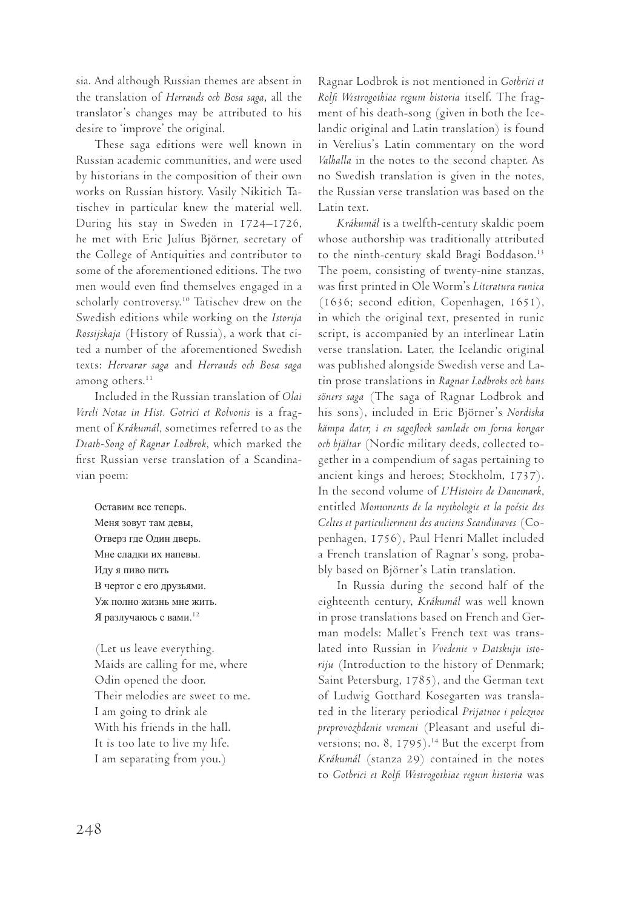sia. And although Russian themes are absent in the translation of *Herrauds och Bosa saga*, all the translator's changes may be attributed to his desire to 'improve' the original.

These saga editions were well known in Russian academic communities, and were used by historians in the composition of their own works on Russian history. Vasily Nikitich Tatischev in particular knew the material well. During his stay in Sweden in 1724–1726, he met with Eric Julius Björner, secretary of the College of Antiquities and contributor to some of the aforementioned editions. The two men would even find themselves engaged in a scholarly controversy.10 Tatischev drew on the Swedish editions while working on the *Istorija Rossijskaja* (History of Russia), a work that cited a number of the aforementioned Swedish texts: *Hervarar saga* and *Herrauds och Bosa saga* among others.<sup>11</sup>

Included in the Russian translation of *Olai Vereli Notae in Hist. Gotrici et Rolvonis* is a fragment of *Krákumál*, sometimes referred to as the *Death-Song of Ragnar Lodbrok*, which marked the first Russian verse translation of a Scandinavian poem:

Оставим все теперь. Меня зовут там девы, Отверз где Один дверь. Мне сладки их напевы. Иду я пиво пить В чертог с его друзьями. Уж полно жизнь мне жить. Я разлучаюсь с вами.<sup>12</sup>

(Let us leave everything. Maids are calling for me, where Odin opened the door. Their melodies are sweet to me. I am going to drink ale With his friends in the hall. It is too late to live my life. I am separating from you.)

Ragnar Lodbrok is not mentioned in *Gothrici et Rolfi Westrogothiae regum historia* itself. The fragment of his death-song (given in both the Icelandic original and Latin translation) is found in Verelius's Latin commentary on the word *Valhalla* in the notes to the second chapter. As no Swedish translation is given in the notes, the Russian verse translation was based on the Latin text.

*Krákumál* is a twelfth-century skaldic poem whose authorship was traditionally attributed to the ninth-century skald Bragi Boddason.<sup>13</sup> The poem, consisting of twenty-nine stanzas, was first printed in Ole Worm's *Literatura runica* (1636; second edition, Copenhagen, 1651), in which the original text, presented in runic script, is accompanied by an interlinear Latin verse translation. Later, the Icelandic original was published alongside Swedish verse and Latin prose translations in *Ragnar Lodbroks och hans söners saga* (The saga of Ragnar Lodbrok and his sons), included in Eric Björner's *Nordiska kämpa dater, i en sagoflock samlade om forna kongar och hjältar* (Nordic military deeds, collected together in a compendium of sagas pertaining to ancient kings and heroes; Stockholm, 1737). In the second volume of *L'Histoire de Danemark*, entitled *Monuments de la mythologie et la poésie des Celtes et particulierment des anciens Scandinaves* (Copenhagen, 1756), Paul Henri Mallet included a French translation of Ragnar's song, probably based on Björner's Latin translation.

In Russia during the second half of the eighteenth century, *Krákumál* was well known in prose translations based on French and German models: Mallet's French text was translated into Russian in *Vvedenie v Datskuju istoriju* (Introduction to the history of Denmark; Saint Petersburg, 1785), and the German text of Ludwig Gotthard Kosegarten was translated in the literary periodical *Prijatnoe i poleznoe preprovozhdenie vremeni* (Pleasant and useful diversions; no. 8, 1795).<sup>14</sup> But the excerpt from *Krákumál* (stanza 29) contained in the notes to *Gothrici et Rolfi Westrogothiae regum historia* was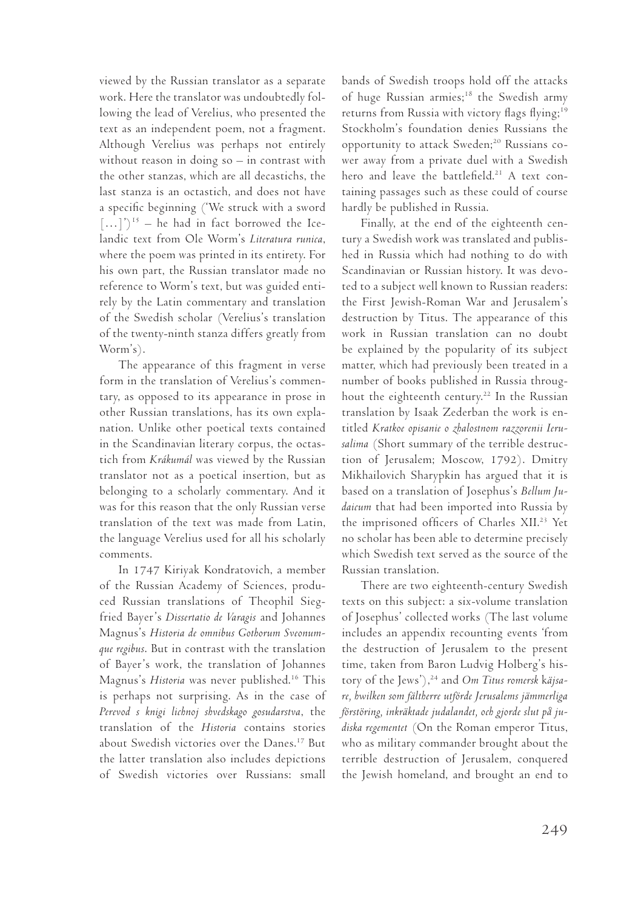viewed by the Russian translator as a separate work. Here the translator was undoubtedly following the lead of Verelius, who presented the text as an independent poem, not a fragment. Although Verelius was perhaps not entirely without reason in doing so – in contrast with the other stanzas, which are all decastichs, the last stanza is an octastich, and does not have a specific beginning ('We struck with a sword  $[\dots]')^{15}$  – he had in fact borrowed the Icelandic text from Ole Worm's *Literatura runica*, where the poem was printed in its entirety. For his own part, the Russian translator made no reference to Worm's text, but was guided entirely by the Latin commentary and translation of the Swedish scholar (Verelius's translation of the twenty-ninth stanza differs greatly from Worm's).

The appearance of this fragment in verse form in the translation of Verelius's commentary, as opposed to its appearance in prose in other Russian translations, has its own explanation. Unlike other poetical texts contained in the Scandinavian literary corpus, the octastich from *Krákumál* was viewed by the Russian translator not as a poetical insertion, but as belonging to a scholarly commentary. And it was for this reason that the only Russian verse translation of the text was made from Latin, the language Verelius used for all his scholarly comments.

In 1747 Kiriyak Kondratovich, a member of the Russian Academy of Sciences, produced Russian translations of Theophil Siegfried Bayer's *Dissertatio de Varagis* and Johannes Magnus's *Historia de omnibus Gothorum Sveonumque regibus*. But in contrast with the translation of Bayer's work, the translation of Johannes Magnus's *Historia* was never published.16 This is perhaps not surprising. As in the case of *Perevod s knigi lichnoj shvedskago gosudarstva*, the translation of the *Historia* contains stories about Swedish victories over the Danes.17 But the latter translation also includes depictions of Swedish victories over Russians: small

bands of Swedish troops hold off the attacks of huge Russian armies;<sup>18</sup> the Swedish army returns from Russia with victory flags flying;<sup>19</sup> Stockholm's foundation denies Russians the opportunity to attack Sweden;<sup>20</sup> Russians cower away from a private duel with a Swedish hero and leave the battlefield.<sup>21</sup> A text containing passages such as these could of course hardly be published in Russia.

Finally, at the end of the eighteenth century a Swedish work was translated and published in Russia which had nothing to do with Scandinavian or Russian history. It was devoted to a subject well known to Russian readers: the First Jewish-Roman War and Jerusalem's destruction by Titus. The appearance of this work in Russian translation can no doubt be explained by the popularity of its subject matter, which had previously been treated in a number of books published in Russia throughout the eighteenth century.<sup>22</sup> In the Russian translation by Isaak Zederban the work is entitled *Kratkoe opisanie o zhalostnom razzorenii Ierusalima* (Short summary of the terrible destruction of Jerusalem; Moscow, 1792). Dmitry Mikhailovich Sharypkin has argued that it is based on a translation of Josephus's *Bellum Judaicum* that had been imported into Russia by the imprisoned officers of Charles XII.<sup>23</sup> Yet no scholar has been able to determine precisely which Swedish text served as the source of the Russian translation.

There are two eighteenth-century Swedish texts on this subject: a six-volume translation of Josephus' collected works (The last volume includes an appendix recounting events 'from the destruction of Jerusalem to the present time, taken from Baron Ludvig Holberg's history of the Jews'),<sup>24</sup> and *Om Titus romersk käjsare, hwilken som fältherre utförde Jerusalems jämmerliga förstöring, inkräktade judalandet, och gjorde slut på judiska regementet* (On the Roman emperor Titus, who as military commander brought about the terrible destruction of Jerusalem, conquered the Jewish homeland, and brought an end to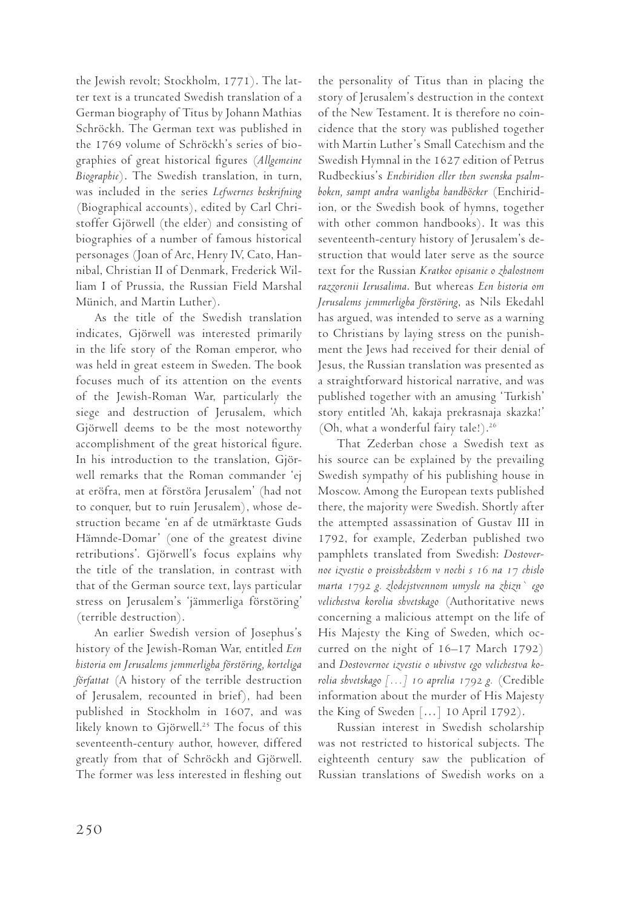the Jewish revolt; Stockholm, 1771). The latter text is a truncated Swedish translation of a German biography of Titus by Johann Mathias Schröckh. The German text was published in the 1769 volume of Schröckh's series of biographies of great historical figures (*Allgemeine Biographie*). The Swedish translation, in turn, was included in the series *Lefwernes beskrifning* (Biographical accounts), edited by Carl Christoffer Gjörwell (the elder) and consisting of biographies of a number of famous historical personages (Joan of Arc, Henry IV, Cato, Hannibal, Christian II of Denmark, Frederick William I of Prussia, the Russian Field Marshal Münich, and Martin Luther).

As the title of the Swedish translation indicates, Gjörwell was interested primarily in the life story of the Roman emperor, who was held in great esteem in Sweden. The book focuses much of its attention on the events of the Jewish-Roman War, particularly the siege and destruction of Jerusalem, which Gjörwell deems to be the most noteworthy accomplishment of the great historical figure. In his introduction to the translation, Gjörwell remarks that the Roman commander 'ej at eröfra, men at förstöra Jerusalem' (had not to conquer, but to ruin Jerusalem), whose destruction became 'en af de utmärktaste Guds Hämnde-Domar' (one of the greatest divine retributions'. Gjörwell's focus explains why the title of the translation, in contrast with that of the German source text, lays particular stress on Jerusalem's 'jämmerliga förstöring' (terrible destruction).

An earlier Swedish version of Josephus's history of the Jewish-Roman War, entitled *Een historia om Jerusalems jemmerligha förstöring, korteliga författat* (A history of the terrible destruction of Jerusalem, recounted in brief), had been published in Stockholm in 1607, and was likely known to Gjörwell.<sup>25</sup> The focus of this seventeenth-century author, however, differed greatly from that of Schröckh and Gjörwell. The former was less interested in fleshing out the personality of Titus than in placing the story of Jerusalem's destruction in the context of the New Testament. It is therefore no coincidence that the story was published together with Martin Luther's Small Catechism and the Swedish Hymnal in the 1627 edition of Petrus Rudbeckius's *Enchiridion eller then swenska psalmboken, sampt andra wanligha handböcker* (Enchiridion, or the Swedish book of hymns, together with other common handbooks). It was this seventeenth-century history of Jerusalem's destruction that would later serve as the source text for the Russian *Kratkoe opisanie o zhalostnom razzorenii Ierusalima*. But whereas *Een historia om Jerusalems jemmerligha förstöring*, as Nils Ekedahl has argued, was intended to serve as a warning to Christians by laying stress on the punishment the Jews had received for their denial of Jesus, the Russian translation was presented as a straightforward historical narrative, and was published together with an amusing 'Turkish' story entitled 'Ah, kakaja prekrasnaja skazka!' (Oh, what a wonderful fairy tale!).<sup>26</sup>

That Zederban chose a Swedish text as his source can be explained by the prevailing Swedish sympathy of his publishing house in Moscow. Among the European texts published there, the majority were Swedish. Shortly after the attempted assassination of Gustav III in 1792, for example, Zederban published two pamphlets translated from Swedish: *Dostovernoe izvestie o proisshedshem v nochi s 16 na 17 chislo marta 1792 g. zlodejstvennom umysle na zhizn` ego velichestva korolia shvetskago* (Authoritative news concerning a malicious attempt on the life of His Majesty the King of Sweden, which occurred on the night of 16–17 March 1792) and *Dostovernoe izvestie o ubivstve ego velichestva korolia shvetskago […] 10 aprelia 1792 g.* (Credible information about the murder of His Majesty the King of Sweden […] 10 April 1792).

Russian interest in Swedish scholarship was not restricted to historical subjects. The eighteenth century saw the publication of Russian translations of Swedish works on a